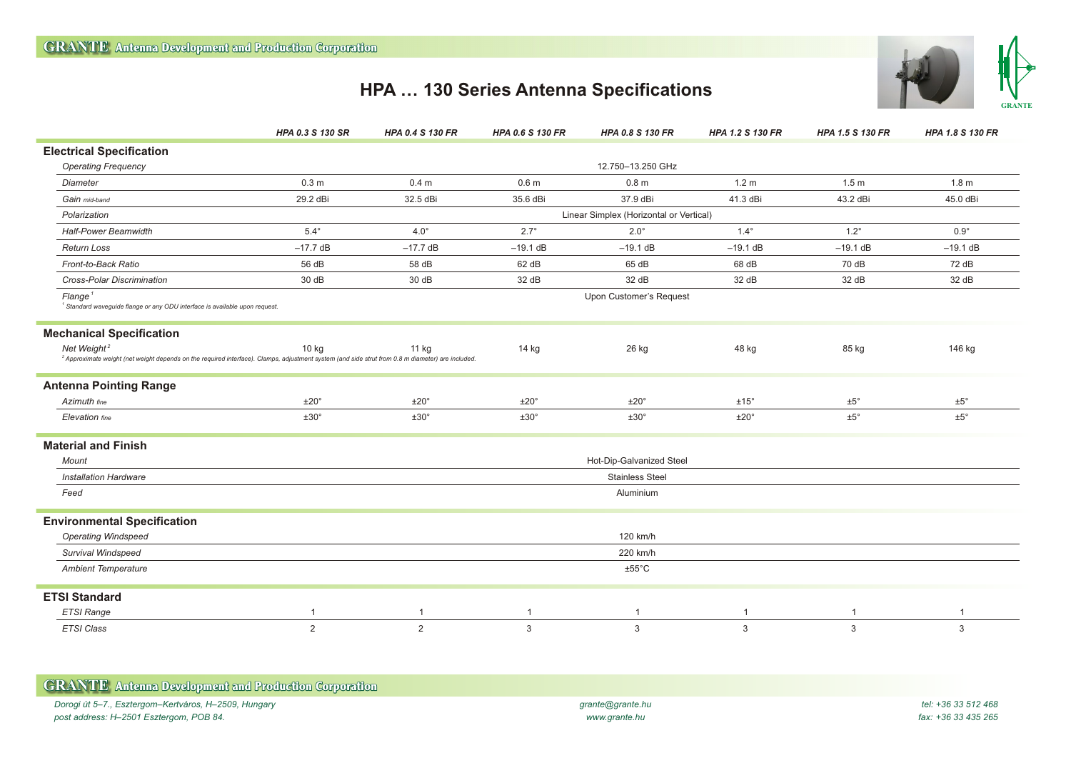

## **HPA … 130 Series Antenna Specifications**

|                                                                                                                                                                                         | HPA 0.3 S 130 SR                        | <b>HPA 0.4 S 130 FR</b> | <b>HPA 0.6 S 130 FR</b> | <b>HPA 0.8 S 130 FR</b> | <b>HPA 1.2 S 130 FR</b> | <b>HPA 1.5 S 130 FR</b> | HPA 1.8 S 130 FR |
|-----------------------------------------------------------------------------------------------------------------------------------------------------------------------------------------|-----------------------------------------|-------------------------|-------------------------|-------------------------|-------------------------|-------------------------|------------------|
| <b>Electrical Specification</b>                                                                                                                                                         |                                         |                         |                         |                         |                         |                         |                  |
| <b>Operating Frequency</b>                                                                                                                                                              | 12.750-13.250 GHz                       |                         |                         |                         |                         |                         |                  |
| <b>Diameter</b>                                                                                                                                                                         | 0.3 <sub>m</sub>                        | 0.4 <sub>m</sub>        | 0.6 <sub>m</sub>        | 0.8 <sub>m</sub>        | 1.2 <sub>m</sub>        | 1.5 <sub>m</sub>        | 1.8 <sub>m</sub> |
| Gain mid-band                                                                                                                                                                           | 29.2 dBi                                | 32.5 dBi                | 35.6 dBi                | 37.9 dBi                | 41.3 dBi                | 43.2 dBi                | 45.0 dBi         |
| Polarization                                                                                                                                                                            | Linear Simplex (Horizontal or Vertical) |                         |                         |                         |                         |                         |                  |
| <b>Half-Power Beamwidth</b>                                                                                                                                                             | $5.4^\circ$                             | $4.0^\circ$             | $2.7^\circ$             | $2.0^\circ$             | $1.4^\circ$             | $1.2^\circ$             | $0.9^\circ$      |
| <b>Return Loss</b>                                                                                                                                                                      | $-17.7$ dB                              | $-17.7$ dB              | $-19.1$ dB              | $-19.1$ dB              | $-19.1$ dB              | $-19.1$ dB              | $-19.1$ dB       |
| Front-to-Back Ratio                                                                                                                                                                     | 56 dB                                   | 58 dB                   | 62 dB                   | 65 dB                   | 68 dB                   | 70 dB                   | 72 dB            |
| <b>Cross-Polar Discrimination</b>                                                                                                                                                       | 30 dB                                   | 30 dB                   | 32 dB                   | 32 dB                   | 32 dB                   | 32 dB                   | 32 dB            |
| Flange <sup>1</sup><br><sup>1</sup> Standard waveguide flange or any ODU interface is available upon request.                                                                           | Upon Customer's Request                 |                         |                         |                         |                         |                         |                  |
| <b>Mechanical Specification</b>                                                                                                                                                         |                                         |                         |                         |                         |                         |                         |                  |
| Net Weight <sup>2</sup><br><sup>2</sup> Approximate weight (net weight depends on the required interface). Clamps, adjustment system (and side strut from 0.8 m diameter) are included. | 10 kg                                   | 11 kg                   | 14 kg                   | 26 kg                   | 48 kg                   | 85 kg                   | 146 kg           |
| <b>Antenna Pointing Range</b>                                                                                                                                                           |                                         |                         |                         |                         |                         |                         |                  |
| Azimuth fine                                                                                                                                                                            | $±20^{\circ}$                           | ±20°                    | $±20^{\circ}$           | ±20°                    | ±15°                    | $\pm 5^\circ$           | $±5^{\circ}$     |
| Elevation fine                                                                                                                                                                          | $±30^{\circ}$                           | ±30°                    | ±30°                    | ±30°                    | $±20^{\circ}$           | $\pm 5^\circ$           | $±5^{\circ}$     |
| <b>Material and Finish</b>                                                                                                                                                              |                                         |                         |                         |                         |                         |                         |                  |
| <b>Mount</b>                                                                                                                                                                            | Hot-Dip-Galvanized Steel                |                         |                         |                         |                         |                         |                  |
| <b>Installation Hardware</b>                                                                                                                                                            | <b>Stainless Steel</b>                  |                         |                         |                         |                         |                         |                  |
| Feed                                                                                                                                                                                    | Aluminium                               |                         |                         |                         |                         |                         |                  |
| <b>Environmental Specification</b>                                                                                                                                                      |                                         |                         |                         |                         |                         |                         |                  |
| <b>Operating Windspeed</b>                                                                                                                                                              | 120 km/h                                |                         |                         |                         |                         |                         |                  |
| Survival Windspeed                                                                                                                                                                      | 220 km/h                                |                         |                         |                         |                         |                         |                  |
| <b>Ambient Temperature</b>                                                                                                                                                              |                                         |                         |                         | $±55^{\circ}$ C         |                         |                         |                  |
| <b>ETSI Standard</b>                                                                                                                                                                    |                                         |                         |                         |                         |                         |                         |                  |
| ETSI Range                                                                                                                                                                              | $\mathbf{1}$                            | $\mathbf{1}$            | $\mathbf{1}$            | $\overline{1}$          | $\overline{1}$          | $\mathbf 1$             | $\mathbf{1}$     |
| <b>ETSI Class</b>                                                                                                                                                                       | 2                                       | 2                       | 3                       | 3                       | 3                       | 3                       | 3                |

| <b>GRANTE</b> Antenna Development and Production Corporation |                  |                     |
|--------------------------------------------------------------|------------------|---------------------|
| Dorogi út 5–7., Esztergom–Kertváros, H–2509, Hungary         | grante@grante.hu | tel: +36 33 512 468 |
| post address: H–2501 Esztergom, POB 84.                      | www.grante.hu    | fax: +36 33 435 265 |